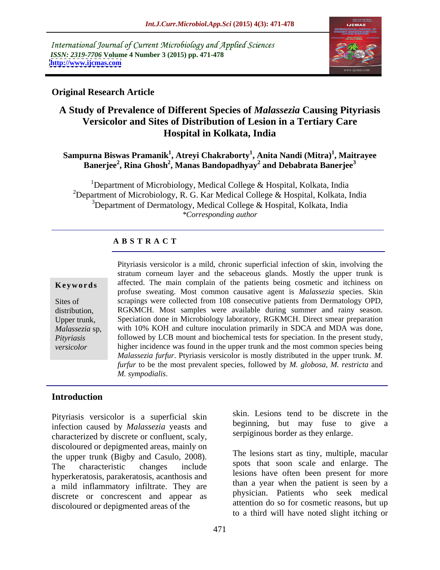International Journal of Current Microbiology and Applied Sciences *ISSN: 2319-7706* **Volume 4 Number 3 (2015) pp. 471-478 <http://www.ijcmas.com>**



# **Original Research Article**

# **A Study of Prevalence of Different Species of** *Malassezia* **Causing Pityriasis Versicolor and Sites of Distribution of Lesion in a Tertiary Care Hospital in Kolkata, India**

# $\mathbf{S}$ ampurna Biswas Pramanik $^1$ , Atreyi Chakraborty $^1$ , Anita Nandi (Mitra) $^1$ , Maitrayee **Banerjee<sup>2</sup> , Rina Ghosh<sup>2</sup> , Manas Bandopadhyay<sup>2</sup> and Debabrata Banerjee<sup>3</sup>**

<sup>1</sup>Department of Microbiology, Medical College & Hospital, Kolkata, India <sup>2</sup>Department of Microbiology, R. G. Kar Medical College & Hospital, Kolkata, India <sup>3</sup>Department of Dermatology, Medical College & Hospital, Kolkata, India *\*Corresponding author*

### **A B S T R A C T**

*versicolor*

Pityriasis versicolor is a mild, chronic superficial infection of skin, involving the stratum corneum layer and the sebaceous glands. Mostly the upper trunk is affected. The main complain of the patients being cosmetic and itchiness on profuse sweating. Most common causative agent is *Malassezia* species. Skin Sites of scrapings were collected from 108 consecutive patients from Dermatology OPD, distribution, RGKMCH. Most samples were available during summer and rainy season. Upper trunk, Speciation done in Microbiology laboratory, RGKMCH. Direct smear preparation Malassezia sp, with 10% KOH and culture inoculation primarily in SDCA and MDA was done, followed by LCB mount and biochemical tests for speciation. In the present study, *Pityriasis*  higher incidence was found in the upper trunk and the most common species being *Malassezia furfur*. Ptyriasis versicolor is mostly distributed in the upper trunk. *M. furfur* to be the most prevalent species, followed by *M. globosa, M. restricta* and **Example 18** Extert and The main complain of the patients being cosmetic and itchiness on profuse sweating. Most common causative agent is *Malassezia* species. Skin scrapings were collected from 108 consecutive patients f

# **Introduction**

Pityriasis versicolor is a superficial skin infection caused by *Malassezia* yeasts and characterized by discrete or confluent, scaly, discoloured or depigmented areas, mainly on the upper trunk (Bigby and Casulo, 2008). The characteristic changes include spots that soon scale and enlarge. The hyperkeratosis, parakeratosis, acanthosis and a mild inflammatory infiltrate. They are discrete or concrescent and appear as discoloured or depigmented areas of the

skin. Lesions tend to be discrete in the beginning, but may fuse to give a serpiginous border as they enlarge.

The lesions start as tiny, multiple, macular spots that soon scale and enlarge. The lesions have often been present for more than a year when the patient is seen by a physician. Patients who seek medical attention do so for cosmetic reasons, but up to a third will have noted slight itching or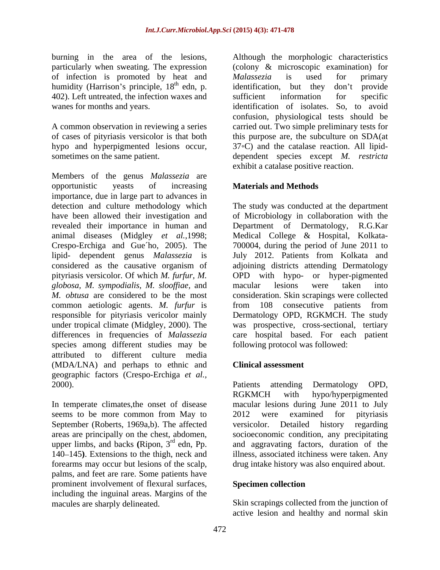of infection is promoted by heat and Malassezia is used for primary humidity (Harrison's principle,  $18<sup>th</sup>$  edn, p. identification, but they don't provide 402). Left untreated, the infection waxes and sufficient information for specific

hypo and hyperpigmented lesions occur,

Members of the genus *Malassezia* are opportunistic yeasts of increasing **Materials and Methods** importance, due in large part to advances in detection and culture methodology which The study was conducted at the department have been allowed their investigation and of Microbiology in collaboration with the revealed their importance in human and Department of Dermatology, R.G.Kar animal diseases (Midgley *et al.,*1998; Crespo-Erchiga and Gue´ho, 2005). The 700004, during the period of June 2011 to lipid- dependent genus *Malassezia* is July 2012. Patients from Kolkata and considered as the causative organism of adjoining districts attending Dermatology pityriasis versicolor. Of which *M. furfur, M.* OPD with hypo- or hyper-pigmented *globosa, M. sympodialis, M. slooffiae, and* macular lesions were taken into *M. obtusa* are considered to be the most consideration. Skin scrapings were collected common aetiologic agents. *M. furfur* is responsible for pityriasis vericolor mainly Dermatology OPD, RGKMCH. The study under tropical climate (Midgley, 2000). The was prospective, cross-sectional, tertiary differences in frequencies of *Malassezia* care hospital based. For each patient species among different studies may be attributed to different culture media (MDA/LNA) and perhaps to ethnic and geographic factors (Crespo-Erchiga *et al.,* 2000). Patients attending Dermatology OPD,

seems to be more common from May to 2012 were examined for pityriasis September (Roberts, 1969a,b). The affected versicolor. Detailed history regarding upper limbs, and backs (Ripon, 3<sup>rd</sup> edn, Pp. 140–145). Extensions to the thigh, neck and forearms may occur but lesions of the scalp, palms, and feet are rare. Some patients have prominent involvement of flexural surfaces, Specimen collection including the inguinal areas. Margins of the

burning in the area of the lesions, Although the morphologic characteristics particularly when sweating. The expression (colony & microscopic examination) for wanes for months and years. identification of isolates. So, to avoid A common observation in reviewing a series carried out. Two simple preliminary tests for of cases of pityriasis versicolor is that both this purpose are, the subculture on SDA(at sometimes on the same patient. dependent species except *M. restricta* Although the morphologic characteristics (colony & microscopic examination) for *Malassezia* is used for primary identification, but they don't provide sufficient information for specific confusion, physiological tests should be  $37 \cdot C$ ) and the catalase reaction. All lipidexhibit a catalase positive reaction.

# **Materials and Methods**

Medical College & Hospital, Kolkata macular lesions were taken into from 108 consecutive patients from following protocol was followed:

### **Clinical assessment**

In temperate climates,the onset of disease macular lesions during June 2011 to July areas are principally on the chest, abdomen, socioeconomic condition, any precipitating <sup>rd</sup> edn, Pp. and aggravating factors, duration of the upper limbs, and backs (Ripon,  $3^{rd}$  edn, Pp. and aggravating factors, duration of the  $140-145$ ). Extensions to the thigh, neck and illness, associated itchiness were taken. Any Patients attending Dermatology OPD, RGKMCH with hypo/hyperpigmented 2012 were examined for pityriasis versicolor. Detailed history illness, associated itchiness were taken. Any drug intake history was also enquired about.

# **Specimen collection**

macules are sharply delineated. Skin scrapings collected from the junction of active lesion and healthy and normal skin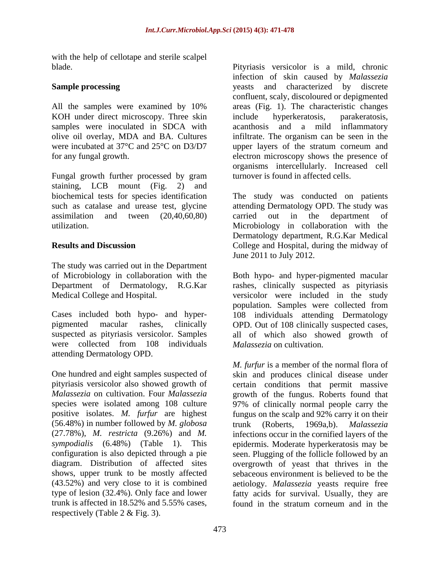with the help of cellotape and sterile scalpel

KOH under direct microscopy. Three skin include hyperkeratosis, parakeratosis,

Fungal growth further processed by gram turnover is found in affected cells. staining, LCB mount (Fig. 2) and biochemical tests for species identification

The study was carried out in the Department

were collected from 108 individuals attending Dermatology OPD.

pityriasis versicolor also showed growth of (56.48%) in number followed by *M. globosa* shows, upper trunk to be mostly affected trunk is affected in 18.52% and 5.55% cases, respectively (Table 2 & Fig. 3).

blade. Pityriasis versicolor is a mild, chronic **Sample processing** The second vertext and characterized by discrete All the samples were examined by 10% areas (Fig. 1). The characteristic changes samples were inoculated in SDCA with acanthosis and a mild inflammatory olive oil overlay, MDA and BA. Cultures infiltrate. The organism can be seen in the were incubated at 37°C and 25°C on D3/D7 upper layers of the stratum corneum and for any fungal growth. electron microscopy shows the presence of infection of skin caused by *Malassezia* confluent, scaly, discoloured or depigmented include hyperkeratosis, parakeratosis, organisms intercellularly. Increased cell turnover is found in affected cells.

such as catalase and urease test, glycine attending Dermatology OPD. The study was assimilation and tween (20,40,60,80) carried out in the department of utilization. Microbiology in collaboration with the **Results and Discussion** College and Hospital, during the midway of The study was conducted on patients carried out in the department of Dermatology department, R.G.Kar Medical June 2011 to July 2012.

of Microbiology in collaboration with the Both hypo- and hyper-pigmented macular Department of Dermatology, R.G.Kar rashes, clinically suspected as pityriasis Medical College and Hospital. versicolor were included in the study Cases included both hypo- and hyper- 108 individuals attending Dermatology pigmented macular rashes, clinically OPD. Out of 108 clinically suspected cases, suspected as pityriasis versicolor. Samples all of which also showed growth of population. Samples were collected from *Malassezia* on cultivation.

One hundred and eight samples suspected of skin and produces clinical disease under *Malassezia* on cultivation. Four *Malassezia* growth of the fungus. Roberts found that species were isolated among 108 culture 97% of clinically normal people carry the positive isolates. *M. furfur* are highest fungus on the scalp and 92% carry it on their (27.78%), *M. restricta* (9.26%) and *M.* infections occur in the cornified layers of the *sympodialis* (6.48%) (Table 1). This epidermis. Moderate hyperkeratosis may be configuration is also depicted through a pie seen. Plugging of the follicle followed by an diagram. Distribution of affected sites overgrowth of yeast that thrives in the (43.52%) and very close to it is combined aetiology. *Malassezia* yeasts require free type of lesion (32.4%). Only face and lower fatty acids for survival. Usually, they are *M. furfur* is a member of the normal flora of certain conditions that permit massive trunk (Roberts, 1969a,b). *Malassezia* sebaceous environment is believed to be the found in the stratum corneum and in the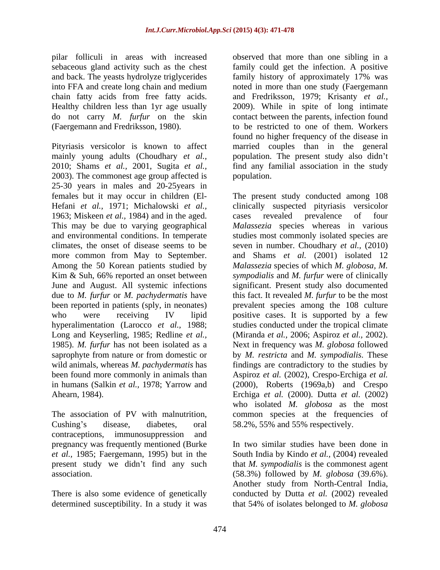pilar folliculi in areas with increased observed that more than one sibling in a

Pityriasis versicolor is known to affect married couples than in the general mainly young adults (Choudhary *et al.*, population. The present study also didn't 2010; Shams *et al.*, 2001, Sugita *et al.*, find any familial association in the study 2003). The commonest age group affected is 25-30 years in males and 20-25years in females but it may occur in children (El- The present study conducted among 108 Hefani *et al.,* 1971; Michalowski *et al.,* clinically suspected pityriasis versicolor 1963; Miskeen *et al.,* 1984) and in the aged. This may be due to varying geographical *Malassezia* species whereas in various and environmental conditions. In temperate studies most commonly isolated species are climates, the onset of disease seems to be seven in number. Choudhary *et al.,* (2010) more common from May to September. and Shams *et al.* (2001) isolated 12 Among the 50 Korean patients studied by *Malassezia* species of which *M. globosa,M.* Kim & Suh, 66% reported an onset between June and August. All systemic infections significant. Present study also documented due to *M. furfur* or *M. pachydermatis* have this fact. It revealed *M. furfur* to be the most been reported in patients (sply, in neonates) prevalent species among the 108 culture who were receiving IV lipid positive cases. It is supported by a few hyperalimentation (Larocco *et al.,* 1988; studies conducted under the tropical climate Long and Keyserling, 1985; Redline *et al.,* (Miranda *et al.,* 2006; Aspiroz *et al.,* 2002). 1985). *M. furfur* has not been isolated as a Next in frequency was *M. globosa* followed saprophyte from nature or from domestic or by *M. restricta* and *M. sympodialis*. These wild animals, whereas *M. pachydermatis* has findings are contradictory to the studies by been found more commonly in animals than Aspiroz *et al.* (2002), Crespo-Erchiga *et al.* in humans (Salkin *et al.,* 1978; Yarrow and (2000), Roberts (1969a,b) and Crespo Ahearn, 1984). Erchiga *et al.* (2000). Dutta *et al.* (2002)

The association of PV with malnutrition, Cushing's disease, diabetes, oral 58.2%, 55% and 55% respectively. contraceptions, immunosuppression and pregnancy was frequently mentioned (Burke

determined susceptibility. In a study it was that 54% of isolates belonged to *M. globosa*

sebaceous gland activity such as the chest family could get the infection. A positive and back. The yeasts hydrolyze triglycerides family history of approximately 17% was into FFA and create long chain and medium noted in more than one study (Faergemann chain fatty acids from free fatty acids. and Fredriksson, 1979; Krisanty *et al.,* Healthy children less than 1yr age usually 2009). While in spite of long intimate do not carry *M. furfur* on the skin contact between the parents, infection found (Faergemann and Fredriksson, 1980). to be restricted to one of them. Workers found no higher frequency of the disease in population.

> cases revealed prevalence of four *sympodialis* and *M. furfur* were of clinically who isolated *M. globosa* as the most common species at the frequencies of

*et al.,* 1985; Faergemann, 1995) but in the South India by Kindo *et al.,* (2004) revealed present study we didn't find any such that *M. sympodialis* is the commonest agent association. (58.3%) followed by *M. globosa* (39.6%). There is also some evidence of genetically conducted by Dutta *et al.* (2002) revealed In two similar studies have been done in Another study from North-Central India,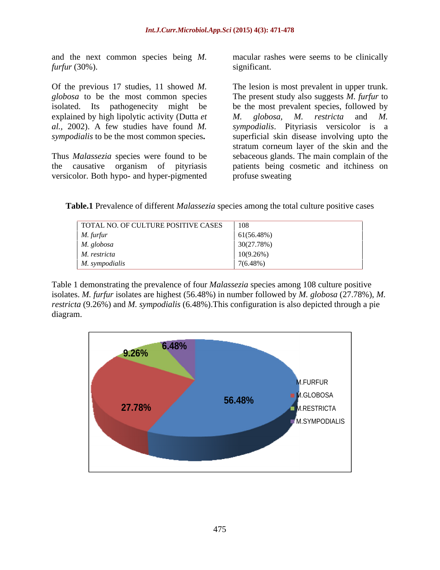and the next common species being *M. furfur* (30%).

explained by high lipolytic activity (Dutta *et M. globosa, M. restricta* and M. *al.,* 2002). A few studies have found *M.* 

versicolor. Both hypo- and hyper-pigmented

macular rashes were seems to be clinically significant.

Of the previous 17 studies, 11 showed *M.*  The lesion is most prevalent in upper trunk. *globosa* to be the most common species The present study also suggests *M. furfur* to isolated. Its pathogenecity might be be the most prevalent species, followed by *sympodialis* to be the most common species. Superficial skin disease involving upto the Thus *Malassezia* species were found to be sebaceous glands. The main complain of the the causative organism of pityriasis patients being cosmetic and itchiness on *M. globosa, M. restricta* and *M. sympodialis*. Pityriasis versicolor is a stratum corneum layer of the skin and the profuse sweating

**Table.1** Prevalence of different *Malassezia* species among the total culture positive cases

| TOTAL NO. OF CULTURE POSITIVE CASES | 108         |
|-------------------------------------|-------------|
| M. furfur                           | 61(56.48%)  |
| M. globosa<br>$\sim$                | 30(27.78%)  |
| M. restricta                        | 10(9.26%)   |
| M. sympodialis                      | $7(6.48\%)$ |

Table 1 demonstrating the prevalence of four *Malassezia* species among 108 culture positive isolates. *M. furfur* isolates are highest (56.48%) in number followed by *M. globosa* (27.78%), *M. restricta* (9.26%) and *M. sympodialis* (6.48%).This configuration is also depicted through a pie diagram.

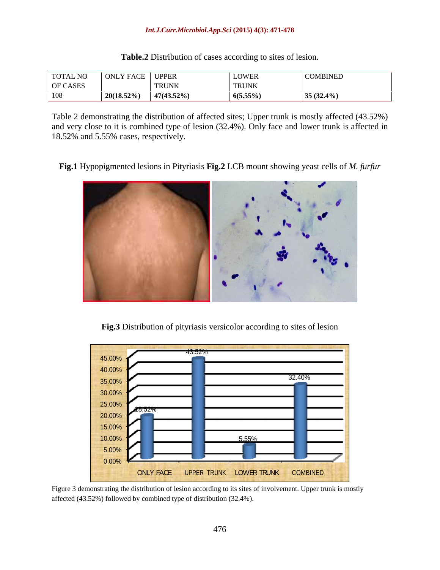### *Int.J.Curr.Microbiol.App.Sci* **(2015) 4(3): 471-478**

**Table.2** Distribution of cases according to sites of lesion.

Table 2 demonstrating the distribution of affected sites; Upper trunk is mostly affected (43.52%) and very close to it is combined type of lesion (32.4%). Only face and lower trunk is affected in 18.52% and 5.55% cases, respectively.

**Fig.1** Hypopigmented lesions in Pityriasis **Fig.2** LCB mount showing yeast cells of *M. furfur*



**Fig.3** Distribution of pityriasis versicolor according to sites of lesion



Figure 3 demonstrating the distribution of lesion according to its sites of involvement. Upper trunk is mostly affected (43.52%) followed by combined type of distribution (32.4%).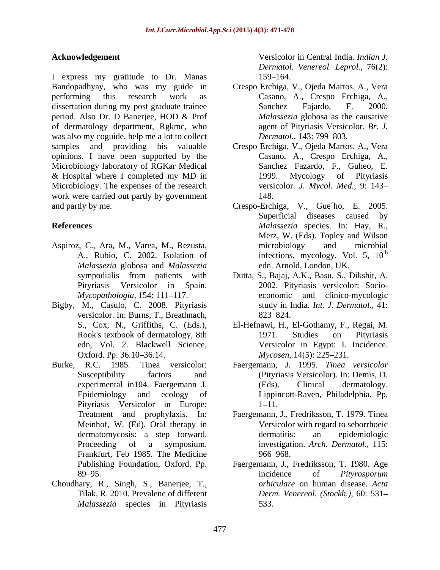I express my gratitude to Dr. Manas Bandopadhyay, who was my guide in Crespo Erchiga, V., Ojeda Martos, A., Vera performing this research work as Casano, A., Crespo Erchiga, A., dissertation during my post graduate trainee<br>
Sanchez Fajardo, F. 2000. period. Also Dr. D Banerjee, HOD & Prof of dermatology department, Rgkmc, who was also my coguide, help me a lot to collect Dermatol., 143: 799–803. samples and providing his valuable Crespo Erchiga, V., Ojeda Martos, A., Vera opinions. I have been supported by the Microbiology laboratory of RGKar Medical & Hospital where I completed my MD in Microbiology. The expenses of the research work were carried out partly by government 148. and partly by me.

- Aspiroz, C., Ara, M., Varea, M., Rezusta, *Malassezia* globosa and *Malassezia*
- Bigby, M., Casulo, C. 2008. Pityriasis versicolor. In: Burns, T., Breathnach, 823–824.
- Burke, R.C. 1985. Tinea versicolor: Faergemann, J. 1995. *Tinea versicolor*  Pityriasis Versicolor in Europe: 1–11. Meinhof, W. (Ed). Oral therapy in Frankfurt, Feb 1985. The Medicine
- Choudhary, R., Singh, S., Banerjee, T., Tilak, R. 2010. Prevalene of different *Malassezia* species in Pityriasis

**Acknowledgement** Versicolor in Central India. *Indian J. Dermatol. Venereol. Leprol.,* 76(2): 159–164.

- Sanchez Fajardo, F. 2000. *Malassezia* globosa as the causative agent of Pityriasis Versicolor. *Br. J. Dermatol.,* 143: 799–803.
- Casano, A., Crespo Erchiga, A., Sanchez Fazardo, F., Guheo, E. Mycology of Pityriasis versicolor. *J. Mycol. Med.,* 9: 143 148.
- **References** *Malassezia* species. In: Hay, R., A., Rubio, C. 2002. Isolation of infections, mycology, Vol. 5, 10<sup>th</sup> Crespo-Erchiga, V., Gue´ho, E. 2005. Superficial diseases caused by Merz, W. (Eds). Topley and Wilson microbiology and microbial the contract of the contract of the contract of the contract of the contract of the contract of the contract of the contract of the contract of the contract of the contract of the contract of the contract of the contract o edn. Arnold, London, UK.
	- sympodialis from patients with Dutta, S., Bajaj, A.K., Basu, S., Dikshit, A. Pityriasis Versicolor in Spain. 2002. Pityriasis versicolor: Socio-*Mycopathologia,* 154: 111–117. economic and clinico-mycologic study in India. *Int. J. Dermatol.,* 41: 823–824.
	- S., Cox, N., Griffiths, C. (Eds.), El-Hefnawi, H., El-Gothamy, F., Regai, M. Rook's textbook of dermatology, 8th 1971. Studies on Pityriasis edn, Vol. 2. Blackwell Science, Versicolor in Egypt: I. Incidence. Oxford. Pp. 36.10–36.14. Mycosen, 14(5): 225–231. 1971. Studies on Pityriasis
	- Susceptibility factors and (Pityriasis Versicolor). In: Demis, D. experimental in104. Faergemann J. (Eds). Clinical dermatology. Epidemiology and ecology of Lippincott-Raven, Philadelphia. Pp. (Eds). Clinical dermatology. **1–11.** The contract of the contract of the contract of the contract of the contract of the contract of the contract of the contract of the contract of the contract of the contract of the contract of the contract of the co
	- Treatment and prophylaxis. In: Faergemann, J., Fredriksson, T. 1979. Tinea dermatomycosis: a step forward. Proceeding of a symposium. investigation. *Arch. Dermatol.,* 115: Versicolor with regard to seborrhoeic dermatitis: an epidemiologic 966–968. In the set of the set of the set of the set of the set of the set of the set of the set of the set of the set of the set of the set of the set of the set of the set of the set of the set of the set of the set of t
	- Publishing Foundation, Oxford. Pp. Faergemann, J., Fredriksson, T. 1980. Age 89–95. The same state of *Pityrosporum* incidence of *Pityrosporum* incidence of *Pityrosporum orbiculare* on human disease. *Acta Derm. Venereol. (Stockh.),* 60: 531 533.